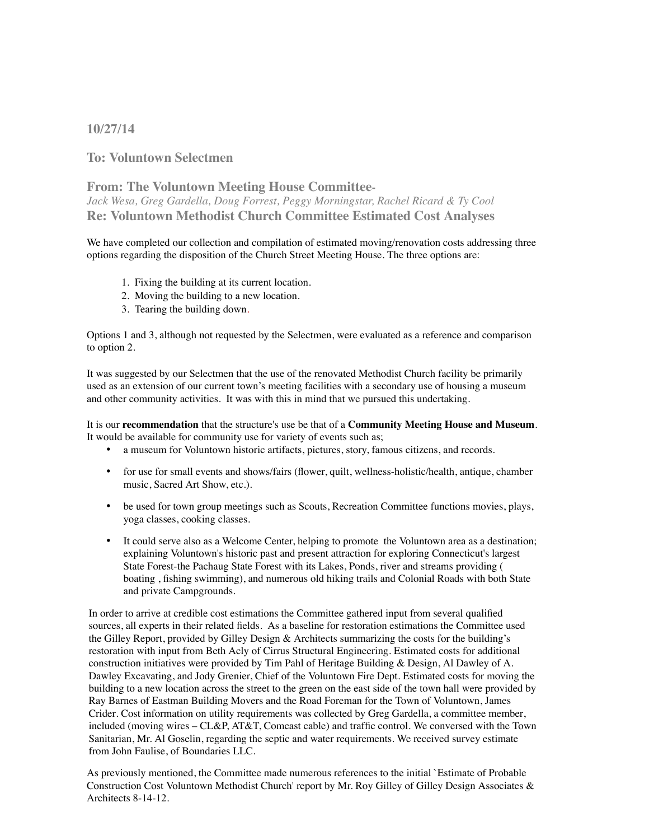## **10/27/14**

**To: Voluntown Selectmen**

**From: The Voluntown Meeting House Committee-***Jack Wesa, Greg Gardella, Doug Forrest, Peggy Morningstar, Rachel Ricard & Ty Cool* **Re: Voluntown Methodist Church Committee Estimated Cost Analyses**

We have completed our collection and compilation of estimated moving/renovation costs addressing three options regarding the disposition of the Church Street Meeting House. The three options are:

- 1. Fixing the building at its current location.
- 2. Moving the building to a new location.
- 3. Tearing the building down.

Options 1 and 3, although not requested by the Selectmen, were evaluated as a reference and comparison to option 2.

It was suggested by our Selectmen that the use of the renovated Methodist Church facility be primarily used as an extension of our current town's meeting facilities with a secondary use of housing a museum and other community activities. It was with this in mind that we pursued this undertaking.

It is our **recommendation** that the structure's use be that of a **Community Meeting House and Museum**. It would be available for community use for variety of events such as;

- a museum for Voluntown historic artifacts, pictures, story, famous citizens, and records.
- for use for small events and shows/fairs (flower, quilt, wellness-holistic/health, antique, chamber music, Sacred Art Show, etc.). •
- be used for town group meetings such as Scouts, Recreation Committee functions movies, plays, yoga classes, cooking classes.
- It could serve also as a Welcome Center, helping to promote the Voluntown area as a destination; explaining Voluntown's historic past and present attraction for exploring Connecticut's largest State Forest-the Pachaug State Forest with its Lakes, Ponds, river and streams providing ( boating , fishing swimming), and numerous old hiking trails and Colonial Roads with both State and private Campgrounds.

In order to arrive at credible cost estimations the Committee gathered input from several qualified sources, all experts in their related fields. As a baseline for restoration estimations the Committee used the Gilley Report, provided by Gilley Design & Architects summarizing the costs for the building's restoration with input from Beth Acly of Cirrus Structural Engineering. Estimated costs for additional construction initiatives were provided by Tim Pahl of Heritage Building & Design, Al Dawley of A. Dawley Excavating, and Jody Grenier, Chief of the Voluntown Fire Dept. Estimated costs for moving the building to a new location across the street to the green on the east side of the town hall were provided by Ray Barnes of Eastman Building Movers and the Road Foreman for the Town of Voluntown, James Crider. Cost information on utility requirements was collected by Greg Gardella, a committee member, included (moving wires – CL&P, AT&T, Comcast cable) and traffic control. We conversed with the Town Sanitarian, Mr. Al Goselin, regarding the septic and water requirements. We received survey estimate from John Faulise, of Boundaries LLC.

As previously mentioned, the Committee made numerous references to the initial `Estimate of Probable Construction Cost Voluntown Methodist Church' report by Mr. Roy Gilley of Gilley Design Associates & Architects 8-14-12.